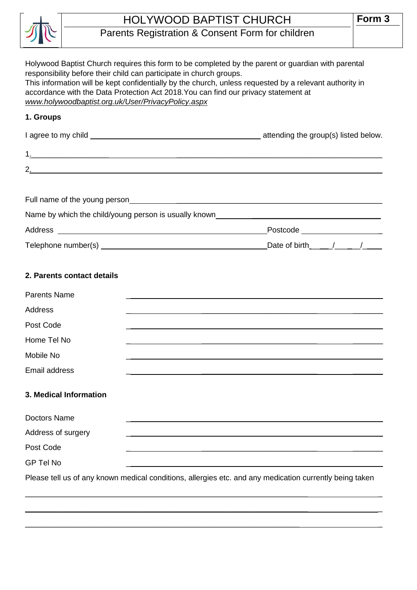

## HOLYWOOD BAPTIST CHURCH

## Parents Registration & Consent Form for children

| Holywood Baptist Church requires this form to be completed by the parent or guardian with parental<br>responsibility before their child can participate in church groups.<br>This information will be kept confidentially by the church, unless requested by a relevant authority in<br>accordance with the Data Protection Act 2018. You can find our privacy statement at<br>www.holywoodbaptist.org.uk/User/PrivacyPolicy.aspx |                                |  |  |  |  |
|-----------------------------------------------------------------------------------------------------------------------------------------------------------------------------------------------------------------------------------------------------------------------------------------------------------------------------------------------------------------------------------------------------------------------------------|--------------------------------|--|--|--|--|
| 1. Groups                                                                                                                                                                                                                                                                                                                                                                                                                         |                                |  |  |  |  |
|                                                                                                                                                                                                                                                                                                                                                                                                                                   |                                |  |  |  |  |
|                                                                                                                                                                                                                                                                                                                                                                                                                                   |                                |  |  |  |  |
|                                                                                                                                                                                                                                                                                                                                                                                                                                   |                                |  |  |  |  |
|                                                                                                                                                                                                                                                                                                                                                                                                                                   |                                |  |  |  |  |
|                                                                                                                                                                                                                                                                                                                                                                                                                                   |                                |  |  |  |  |
| Name by which the child/young person is usually known____________________________                                                                                                                                                                                                                                                                                                                                                 |                                |  |  |  |  |
|                                                                                                                                                                                                                                                                                                                                                                                                                                   | Postcode _____________________ |  |  |  |  |
|                                                                                                                                                                                                                                                                                                                                                                                                                                   | Date of birth $1/2$            |  |  |  |  |
| 2. Parents contact details                                                                                                                                                                                                                                                                                                                                                                                                        |                                |  |  |  |  |
| <b>Parents Name</b>                                                                                                                                                                                                                                                                                                                                                                                                               |                                |  |  |  |  |
| Address                                                                                                                                                                                                                                                                                                                                                                                                                           |                                |  |  |  |  |
| Post Code                                                                                                                                                                                                                                                                                                                                                                                                                         |                                |  |  |  |  |
| Home Tel No                                                                                                                                                                                                                                                                                                                                                                                                                       |                                |  |  |  |  |
| Mobile No                                                                                                                                                                                                                                                                                                                                                                                                                         |                                |  |  |  |  |
| Email address                                                                                                                                                                                                                                                                                                                                                                                                                     |                                |  |  |  |  |
| 3. Medical Information                                                                                                                                                                                                                                                                                                                                                                                                            |                                |  |  |  |  |
| <b>Doctors Name</b>                                                                                                                                                                                                                                                                                                                                                                                                               |                                |  |  |  |  |
| Address of surgery                                                                                                                                                                                                                                                                                                                                                                                                                |                                |  |  |  |  |
| Post Code                                                                                                                                                                                                                                                                                                                                                                                                                         |                                |  |  |  |  |
| <b>GP Tel No</b>                                                                                                                                                                                                                                                                                                                                                                                                                  |                                |  |  |  |  |
| Please tell us of any known medical conditions, allergies etc. and any medication currently being taken                                                                                                                                                                                                                                                                                                                           |                                |  |  |  |  |

 $\_$  , and the set of the set of the set of the set of the set of the set of the set of the set of the set of the set of the set of the set of the set of the set of the set of the set of the set of the set of the set of th

 $\_$  , and the set of the set of the set of the set of the set of the set of the set of the set of the set of the set of the set of the set of the set of the set of the set of the set of the set of the set of the set of th

 $\_$  , and the set of the set of the set of the set of the set of the set of the set of the set of the set of the set of the set of the set of the set of the set of the set of the set of the set of the set of the set of th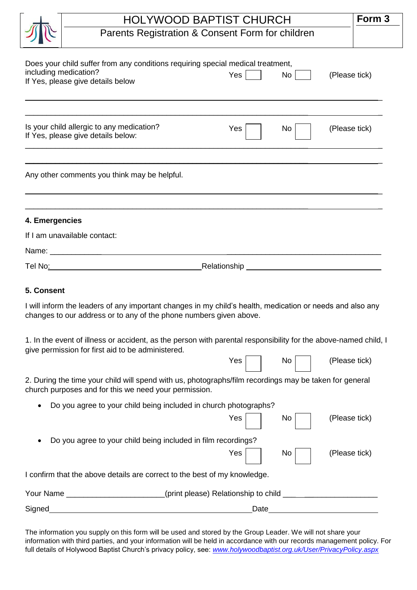|                | <b>HOLYWOOD BAPTIST CHURCH</b>                                                                                                                                                  |               |  |  |  |
|----------------|---------------------------------------------------------------------------------------------------------------------------------------------------------------------------------|---------------|--|--|--|
|                | Parents Registration & Consent Form for children                                                                                                                                |               |  |  |  |
|                | Does your child suffer from any conditions requiring special medical treatment,<br>including medication?<br>Yes<br>No<br>If Yes, please give details below                      | (Please tick) |  |  |  |
|                | Is your child allergic to any medication?<br>Yes<br>No<br>If Yes, please give details below:                                                                                    | (Please tick) |  |  |  |
|                | Any other comments you think may be helpful.                                                                                                                                    |               |  |  |  |
| 4. Emergencies |                                                                                                                                                                                 |               |  |  |  |
|                | If I am unavailable contact:                                                                                                                                                    |               |  |  |  |
|                |                                                                                                                                                                                 |               |  |  |  |
|                |                                                                                                                                                                                 |               |  |  |  |
| 5. Consent     |                                                                                                                                                                                 |               |  |  |  |
|                | I will inform the leaders of any important changes in my child's health, medication or needs and also any<br>changes to our address or to any of the phone numbers given above. |               |  |  |  |
|                | 1. In the event of illness or accident, as the person with parental responsibility for the above-named child, I<br>give permission for first aid to be administered.            |               |  |  |  |
|                | Yes<br>No                                                                                                                                                                       | (Please tick) |  |  |  |
|                | 2. During the time your child will spend with us, photographs/film recordings may be taken for general<br>church purposes and for this we need your permission.                 |               |  |  |  |
|                | Do you agree to your child being included in church photographs?                                                                                                                |               |  |  |  |
|                | Yes<br>No                                                                                                                                                                       | (Please tick) |  |  |  |
|                | Do you agree to your child being included in film recordings?                                                                                                                   |               |  |  |  |
|                | Yes<br>No                                                                                                                                                                       | (Please tick) |  |  |  |
|                | I confirm that the above details are correct to the best of my knowledge.                                                                                                       |               |  |  |  |
|                | Your Name _______________________(print please) Relationship to child ______________________________                                                                            |               |  |  |  |
| Signed         | <u> 1989 - Johann Barbara, martxa alemaniar arg</u>                                                                                                                             |               |  |  |  |
|                |                                                                                                                                                                                 |               |  |  |  |

The information you supply on this form will be used and stored by the Group Leader. We will not share your information with third parties, and your information will be held in accordance with our records management policy. For full details of Holywood Baptist Church's privacy policy, see: *[www.holywoodbaptist.org.uk/User/PrivacyPolicy.aspx](http://www.holywoodbaptist.org.uk/User/PrivacyPolicy.aspx)*